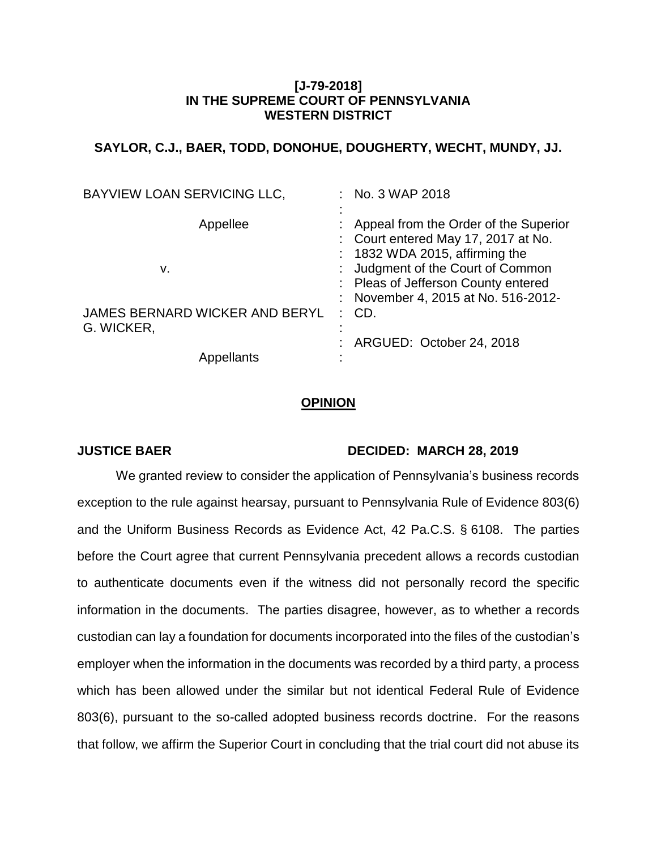# **[J-79-2018] IN THE SUPREME COURT OF PENNSYLVANIA WESTERN DISTRICT**

# **SAYLOR, C.J., BAER, TODD, DONOHUE, DOUGHERTY, WECHT, MUNDY, JJ.**

| : No. 3 WAP 2018                                                                                                   |
|--------------------------------------------------------------------------------------------------------------------|
| : Appeal from the Order of the Superior<br>: Court entered May 17, 2017 at No.<br>$: 1832$ WDA 2015, affirming the |
| : Judgment of the Court of Common                                                                                  |
| : Pleas of Jefferson County entered                                                                                |
| : November 4, 2015 at No. 516-2012-                                                                                |
| $:$ CD.                                                                                                            |
| : ARGUED: October 24, 2018                                                                                         |
|                                                                                                                    |
|                                                                                                                    |

### **OPINION**

## **JUSTICE BAER DECIDED: MARCH 28, 2019**

We granted review to consider the application of Pennsylvania's business records exception to the rule against hearsay, pursuant to Pennsylvania Rule of Evidence 803(6) and the Uniform Business Records as Evidence Act, 42 Pa.C.S. § 6108. The parties before the Court agree that current Pennsylvania precedent allows a records custodian to authenticate documents even if the witness did not personally record the specific information in the documents. The parties disagree, however, as to whether a records custodian can lay a foundation for documents incorporated into the files of the custodian's employer when the information in the documents was recorded by a third party, a process which has been allowed under the similar but not identical Federal Rule of Evidence 803(6), pursuant to the so-called adopted business records doctrine. For the reasons that follow, we affirm the Superior Court in concluding that the trial court did not abuse its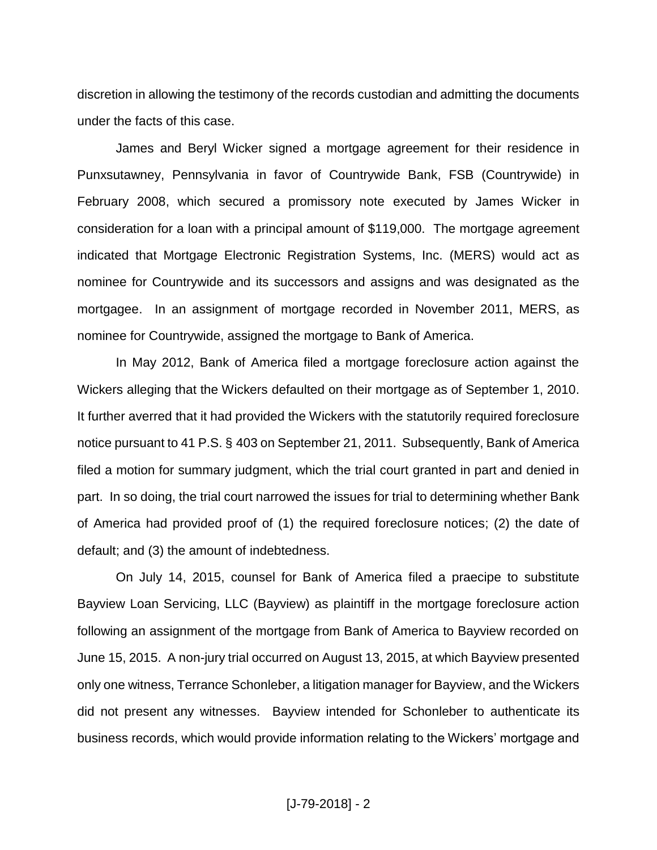discretion in allowing the testimony of the records custodian and admitting the documents under the facts of this case.

James and Beryl Wicker signed a mortgage agreement for their residence in Punxsutawney, Pennsylvania in favor of Countrywide Bank, FSB (Countrywide) in February 2008, which secured a promissory note executed by James Wicker in consideration for a loan with a principal amount of \$119,000. The mortgage agreement indicated that Mortgage Electronic Registration Systems, Inc. (MERS) would act as nominee for Countrywide and its successors and assigns and was designated as the mortgagee. In an assignment of mortgage recorded in November 2011, MERS, as nominee for Countrywide, assigned the mortgage to Bank of America.

In May 2012, Bank of America filed a mortgage foreclosure action against the Wickers alleging that the Wickers defaulted on their mortgage as of September 1, 2010. It further averred that it had provided the Wickers with the statutorily required foreclosure notice pursuant to 41 P.S. § 403 on September 21, 2011. Subsequently, Bank of America filed a motion for summary judgment, which the trial court granted in part and denied in part. In so doing, the trial court narrowed the issues for trial to determining whether Bank of America had provided proof of (1) the required foreclosure notices; (2) the date of default; and (3) the amount of indebtedness.

On July 14, 2015, counsel for Bank of America filed a praecipe to substitute Bayview Loan Servicing, LLC (Bayview) as plaintiff in the mortgage foreclosure action following an assignment of the mortgage from Bank of America to Bayview recorded on June 15, 2015. A non-jury trial occurred on August 13, 2015, at which Bayview presented only one witness, Terrance Schonleber, a litigation manager for Bayview, and the Wickers did not present any witnesses. Bayview intended for Schonleber to authenticate its business records, which would provide information relating to the Wickers' mortgage and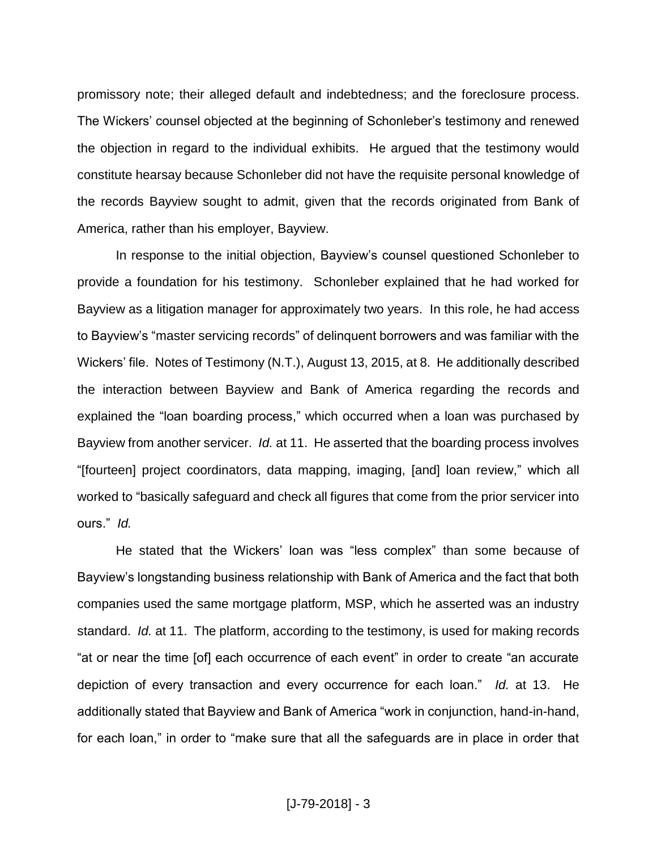promissory note; their alleged default and indebtedness; and the foreclosure process. The Wickers' counsel objected at the beginning of Schonleber's testimony and renewed the objection in regard to the individual exhibits. He argued that the testimony would constitute hearsay because Schonleber did not have the requisite personal knowledge of the records Bayview sought to admit, given that the records originated from Bank of America, rather than his employer, Bayview.

In response to the initial objection, Bayview's counsel questioned Schonleber to provide a foundation for his testimony. Schonleber explained that he had worked for Bayview as a litigation manager for approximately two years. In this role, he had access to Bayview's "master servicing records" of delinquent borrowers and was familiar with the Wickers' file. Notes of Testimony (N.T.), August 13, 2015, at 8. He additionally described the interaction between Bayview and Bank of America regarding the records and explained the "loan boarding process," which occurred when a loan was purchased by Bayview from another servicer. *Id.* at 11. He asserted that the boarding process involves "[fourteen] project coordinators, data mapping, imaging, [and] loan review," which all worked to "basically safeguard and check all figures that come from the prior servicer into ours." *Id.*

He stated that the Wickers' loan was "less complex" than some because of Bayview's longstanding business relationship with Bank of America and the fact that both companies used the same mortgage platform, MSP, which he asserted was an industry standard. *Id.* at 11. The platform, according to the testimony, is used for making records "at or near the time [of] each occurrence of each event" in order to create "an accurate depiction of every transaction and every occurrence for each loan." *Id.* at 13. He additionally stated that Bayview and Bank of America "work in conjunction, hand-in-hand, for each loan," in order to "make sure that all the safeguards are in place in order that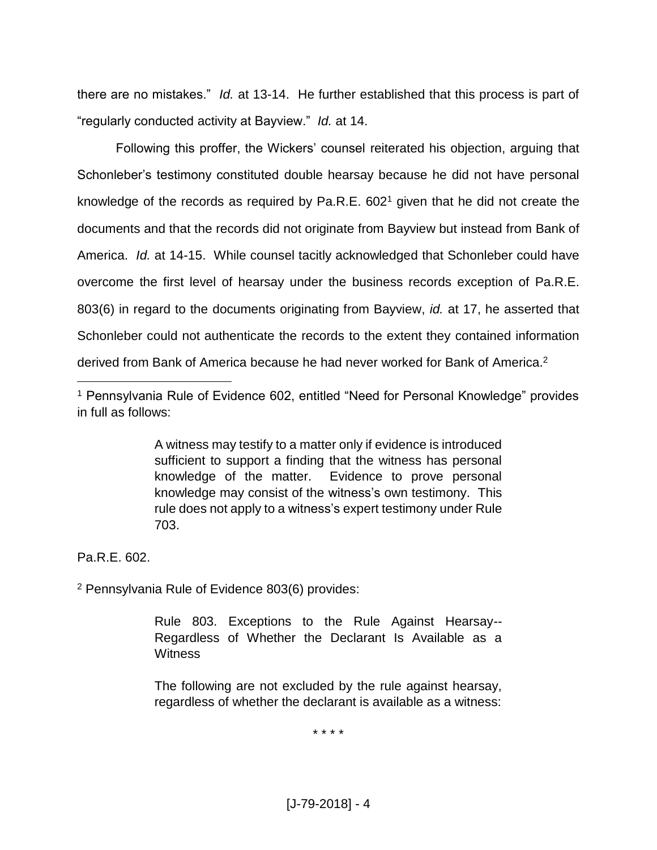there are no mistakes." *Id.* at 13-14. He further established that this process is part of "regularly conducted activity at Bayview." *Id.* at 14.

Following this proffer, the Wickers' counsel reiterated his objection, arguing that Schonleber's testimony constituted double hearsay because he did not have personal knowledge of the records as required by Pa.R.E.  $602<sup>1</sup>$  given that he did not create the documents and that the records did not originate from Bayview but instead from Bank of America. *Id.* at 14-15. While counsel tacitly acknowledged that Schonleber could have overcome the first level of hearsay under the business records exception of Pa.R.E. 803(6) in regard to the documents originating from Bayview, *id.* at 17, he asserted that Schonleber could not authenticate the records to the extent they contained information derived from Bank of America because he had never worked for Bank of America.<sup>2</sup>

A witness may testify to a matter only if evidence is introduced sufficient to support a finding that the witness has personal knowledge of the matter. Evidence to prove personal knowledge may consist of the witness's own testimony. This rule does not apply to a witness's expert testimony under Rule 703.

Pa.R.E. 602.

 $\overline{a}$ 

<sup>2</sup> Pennsylvania Rule of Evidence 803(6) provides:

Rule 803. Exceptions to the Rule Against Hearsay-- Regardless of Whether the Declarant Is Available as a **Witness** 

The following are not excluded by the rule against hearsay, regardless of whether the declarant is available as a witness:

\* \* \* \*

<sup>&</sup>lt;sup>1</sup> Pennsylvania Rule of Evidence 602, entitled "Need for Personal Knowledge" provides in full as follows: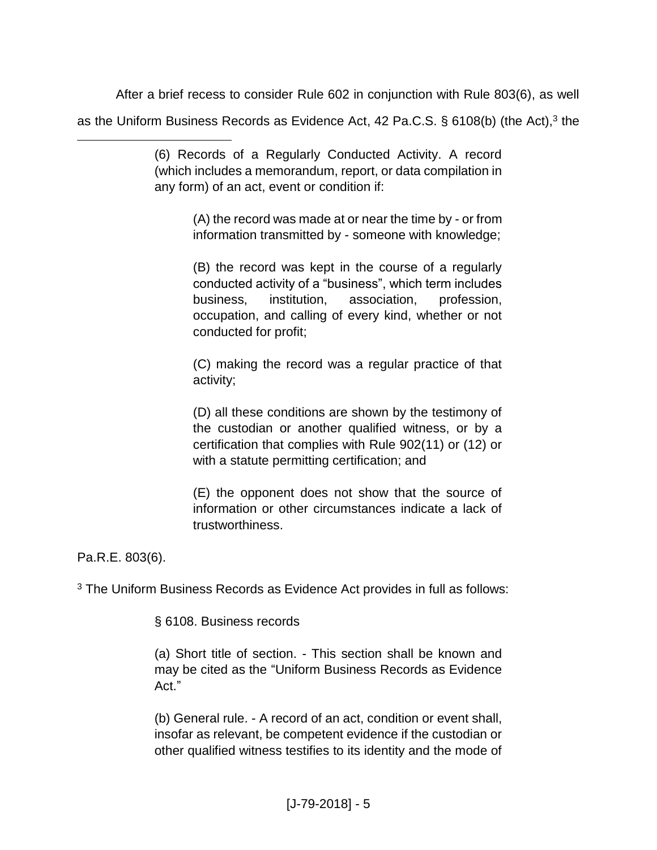After a brief recess to consider Rule 602 in conjunction with Rule 803(6), as well as the Uniform Business Records as Evidence Act, 42 Pa.C.S. § 6108(b) (the Act),<sup>3</sup> the

> (6) Records of a Regularly Conducted Activity. A record (which includes a memorandum, report, or data compilation in any form) of an act, event or condition if:

> > (A) the record was made at or near the time by - or from information transmitted by - someone with knowledge;

> > (B) the record was kept in the course of a regularly conducted activity of a "business", which term includes business, institution, association, profession, occupation, and calling of every kind, whether or not conducted for profit;

> > (C) making the record was a regular practice of that activity;

> > (D) all these conditions are shown by the testimony of the custodian or another qualified witness, or by a certification that complies with Rule 902(11) or (12) or with a statute permitting certification; and

> > (E) the opponent does not show that the source of information or other circumstances indicate a lack of trustworthiness.

Pa.R.E. 803(6).

 $\overline{a}$ 

<sup>3</sup> The Uniform Business Records as Evidence Act provides in full as follows:

§ 6108. Business records

(a) Short title of section. - This section shall be known and may be cited as the "Uniform Business Records as Evidence Act."

(b) General rule. - A record of an act, condition or event shall, insofar as relevant, be competent evidence if the custodian or other qualified witness testifies to its identity and the mode of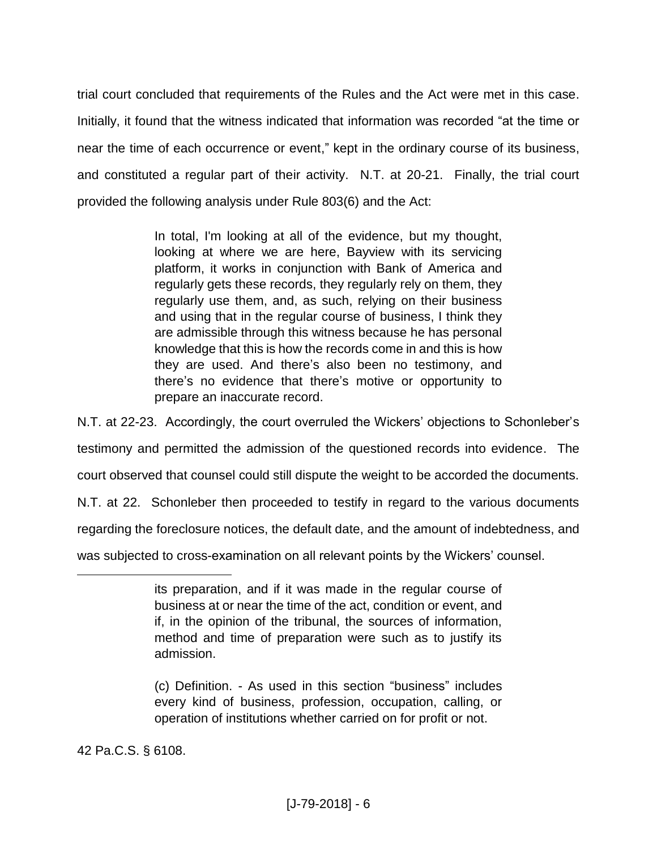trial court concluded that requirements of the Rules and the Act were met in this case. Initially, it found that the witness indicated that information was recorded "at the time or near the time of each occurrence or event," kept in the ordinary course of its business, and constituted a regular part of their activity. N.T. at 20-21. Finally, the trial court provided the following analysis under Rule 803(6) and the Act:

> In total, I'm looking at all of the evidence, but my thought, looking at where we are here, Bayview with its servicing platform, it works in conjunction with Bank of America and regularly gets these records, they regularly rely on them, they regularly use them, and, as such, relying on their business and using that in the regular course of business, I think they are admissible through this witness because he has personal knowledge that this is how the records come in and this is how they are used. And there's also been no testimony, and there's no evidence that there's motive or opportunity to prepare an inaccurate record.

N.T. at 22-23. Accordingly, the court overruled the Wickers' objections to Schonleber's testimony and permitted the admission of the questioned records into evidence. The court observed that counsel could still dispute the weight to be accorded the documents. N.T. at 22. Schonleber then proceeded to testify in regard to the various documents regarding the foreclosure notices, the default date, and the amount of indebtedness, and was subjected to cross-examination on all relevant points by the Wickers' counsel.

42 Pa.C.S. § 6108.

its preparation, and if it was made in the regular course of business at or near the time of the act, condition or event, and if, in the opinion of the tribunal, the sources of information, method and time of preparation were such as to justify its admission.

<sup>(</sup>c) Definition. - As used in this section "business" includes every kind of business, profession, occupation, calling, or operation of institutions whether carried on for profit or not.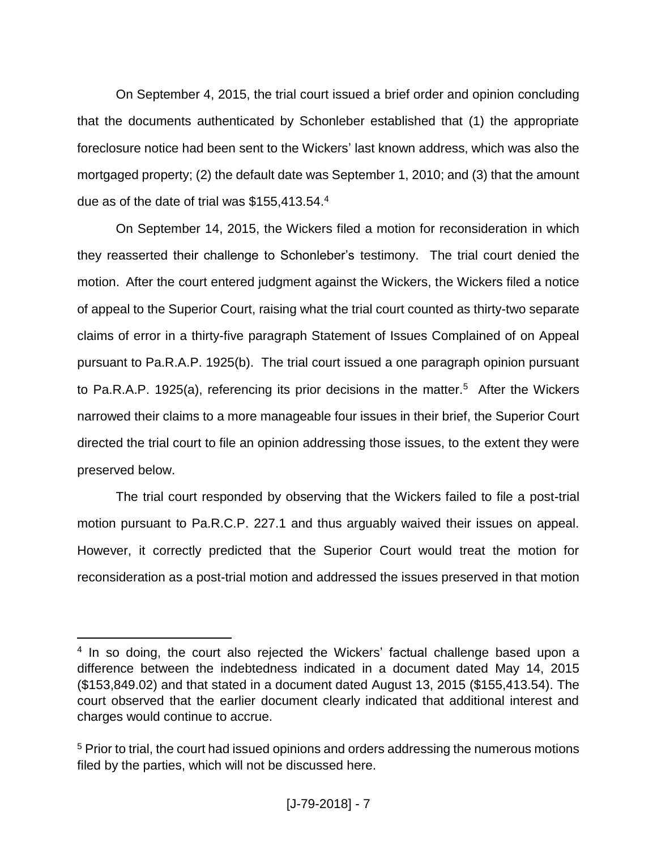On September 4, 2015, the trial court issued a brief order and opinion concluding that the documents authenticated by Schonleber established that (1) the appropriate foreclosure notice had been sent to the Wickers' last known address, which was also the mortgaged property; (2) the default date was September 1, 2010; and (3) that the amount due as of the date of trial was \$155,413.54.<sup>4</sup>

On September 14, 2015, the Wickers filed a motion for reconsideration in which they reasserted their challenge to Schonleber's testimony. The trial court denied the motion. After the court entered judgment against the Wickers, the Wickers filed a notice of appeal to the Superior Court, raising what the trial court counted as thirty-two separate claims of error in a thirty-five paragraph Statement of Issues Complained of on Appeal pursuant to Pa.R.A.P. 1925(b). The trial court issued a one paragraph opinion pursuant to Pa.R.A.P. 1925(a), referencing its prior decisions in the matter.<sup>5</sup> After the Wickers narrowed their claims to a more manageable four issues in their brief, the Superior Court directed the trial court to file an opinion addressing those issues, to the extent they were preserved below.

The trial court responded by observing that the Wickers failed to file a post-trial motion pursuant to Pa.R.C.P. 227.1 and thus arguably waived their issues on appeal. However, it correctly predicted that the Superior Court would treat the motion for reconsideration as a post-trial motion and addressed the issues preserved in that motion

<sup>&</sup>lt;sup>4</sup> In so doing, the court also rejected the Wickers' factual challenge based upon a difference between the indebtedness indicated in a document dated May 14, 2015 (\$153,849.02) and that stated in a document dated August 13, 2015 (\$155,413.54). The court observed that the earlier document clearly indicated that additional interest and charges would continue to accrue.

<sup>&</sup>lt;sup>5</sup> Prior to trial, the court had issued opinions and orders addressing the numerous motions filed by the parties, which will not be discussed here.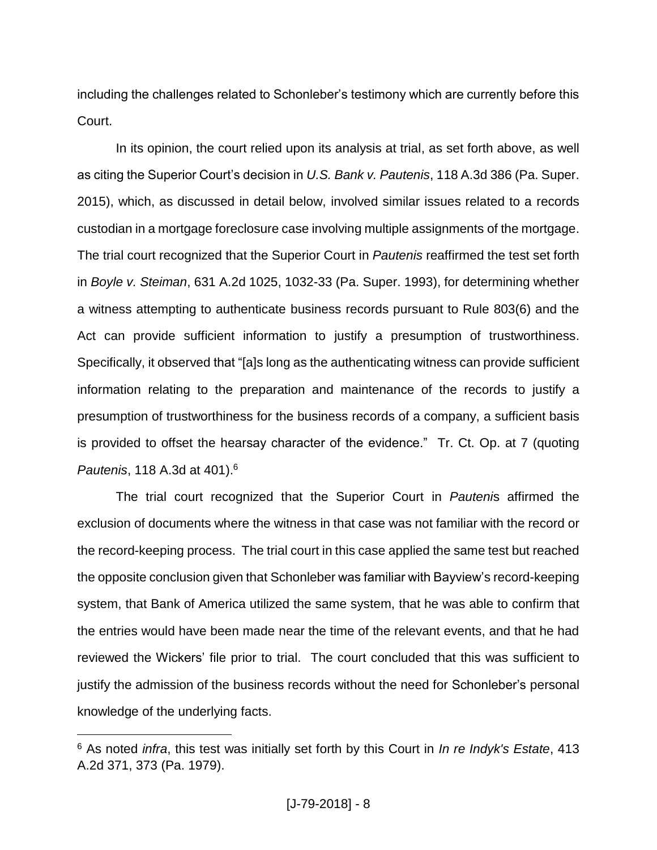including the challenges related to Schonleber's testimony which are currently before this Court.

In its opinion, the court relied upon its analysis at trial, as set forth above, as well as citing the Superior Court's decision in *U.S. Bank v. Pautenis*, 118 A.3d 386 (Pa. Super. 2015), which, as discussed in detail below, involved similar issues related to a records custodian in a mortgage foreclosure case involving multiple assignments of the mortgage. The trial court recognized that the Superior Court in *Pautenis* reaffirmed the test set forth in *Boyle v. Steiman*, 631 A.2d 1025, 1032-33 (Pa. Super. 1993), for determining whether a witness attempting to authenticate business records pursuant to Rule 803(6) and the Act can provide sufficient information to justify a presumption of trustworthiness. Specifically, it observed that "[a]s long as the authenticating witness can provide sufficient information relating to the preparation and maintenance of the records to justify a presumption of trustworthiness for the business records of a company, a sufficient basis is provided to offset the hearsay character of the evidence." Tr. Ct. Op. at 7 (quoting *Pautenis*, 118 A.3d at 401).<sup>6</sup>

The trial court recognized that the Superior Court in *Pauteni*s affirmed the exclusion of documents where the witness in that case was not familiar with the record or the record-keeping process. The trial court in this case applied the same test but reached the opposite conclusion given that Schonleber was familiar with Bayview's record-keeping system, that Bank of America utilized the same system, that he was able to confirm that the entries would have been made near the time of the relevant events, and that he had reviewed the Wickers' file prior to trial. The court concluded that this was sufficient to justify the admission of the business records without the need for Schonleber's personal knowledge of the underlying facts.

<sup>6</sup> As noted *infra*, this test was initially set forth by this Court in *In re Indyk's Estate*, 413 A.2d 371, 373 (Pa. 1979).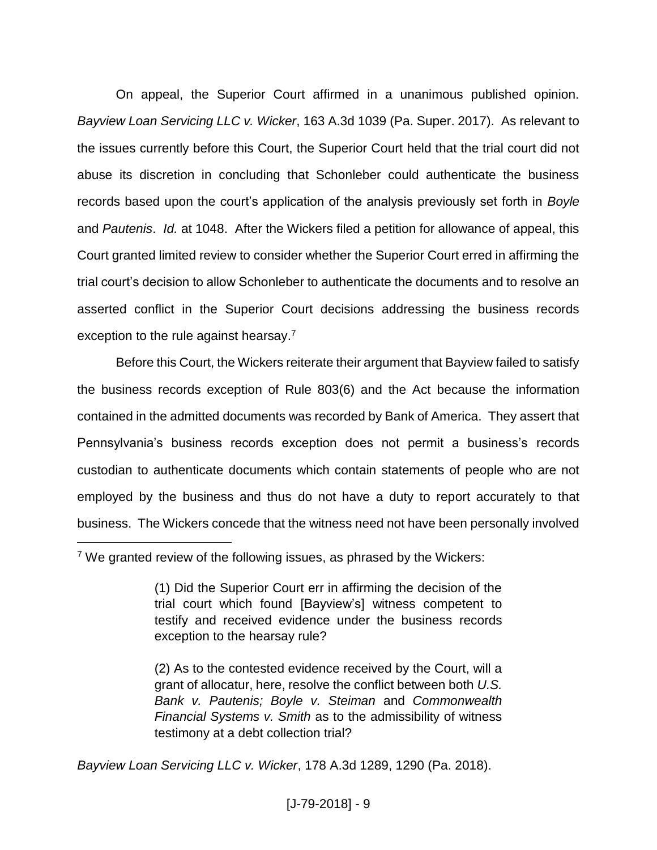On appeal, the Superior Court affirmed in a unanimous published opinion. *Bayview Loan Servicing LLC v. Wicker*, 163 A.3d 1039 (Pa. Super. 2017). As relevant to the issues currently before this Court, the Superior Court held that the trial court did not abuse its discretion in concluding that Schonleber could authenticate the business records based upon the court's application of the analysis previously set forth in *Boyle* and *Pautenis*. *Id.* at 1048. After the Wickers filed a petition for allowance of appeal, this Court granted limited review to consider whether the Superior Court erred in affirming the trial court's decision to allow Schonleber to authenticate the documents and to resolve an asserted conflict in the Superior Court decisions addressing the business records exception to the rule against hearsay.<sup>7</sup>

Before this Court, the Wickers reiterate their argument that Bayview failed to satisfy the business records exception of Rule 803(6) and the Act because the information contained in the admitted documents was recorded by Bank of America. They assert that Pennsylvania's business records exception does not permit a business's records custodian to authenticate documents which contain statements of people who are not employed by the business and thus do not have a duty to report accurately to that business. The Wickers concede that the witness need not have been personally involved

<sup>7</sup> We granted review of the following issues, as phrased by the Wickers:

<sup>(1)</sup> Did the Superior Court err in affirming the decision of the trial court which found [Bayview's] witness competent to testify and received evidence under the business records exception to the hearsay rule?

<sup>(2)</sup> As to the contested evidence received by the Court, will a grant of allocatur, here, resolve the conflict between both *U.S. Bank v. Pautenis; Boyle v. Steiman* and *Commonwealth Financial Systems v. Smith* as to the admissibility of witness testimony at a debt collection trial?

*Bayview Loan Servicing LLC v. Wicker*, 178 A.3d 1289, 1290 (Pa. 2018).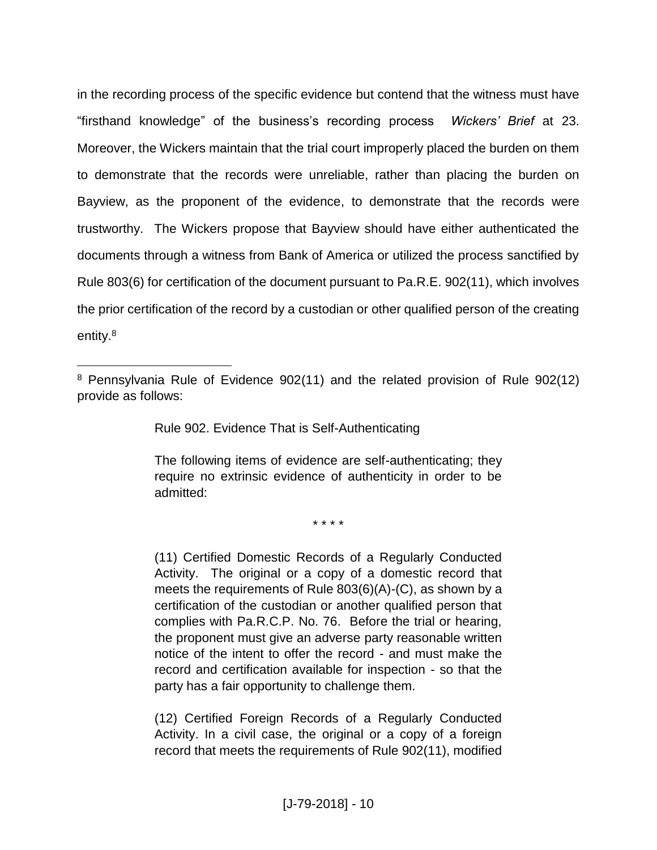in the recording process of the specific evidence but contend that the witness must have "firsthand knowledge" of the business's recording process *Wickers' Brief* at 23. Moreover, the Wickers maintain that the trial court improperly placed the burden on them to demonstrate that the records were unreliable, rather than placing the burden on Bayview, as the proponent of the evidence, to demonstrate that the records were trustworthy. The Wickers propose that Bayview should have either authenticated the documents through a witness from Bank of America or utilized the process sanctified by Rule 803(6) for certification of the document pursuant to Pa.R.E. 902(11), which involves the prior certification of the record by a custodian or other qualified person of the creating entity.<sup>8</sup>

Rule 902. Evidence That is Self-Authenticating

 $\overline{a}$ 

The following items of evidence are self-authenticating; they require no extrinsic evidence of authenticity in order to be admitted:

\* \* \* \*

(11) Certified Domestic Records of a Regularly Conducted Activity. The original or a copy of a domestic record that meets the requirements of Rule 803(6)(A)-(C), as shown by a certification of the custodian or another qualified person that complies with Pa.R.C.P. No. 76. Before the trial or hearing, the proponent must give an adverse party reasonable written notice of the intent to offer the record - and must make the record and certification available for inspection - so that the party has a fair opportunity to challenge them.

(12) Certified Foreign Records of a Regularly Conducted Activity. In a civil case, the original or a copy of a foreign record that meets the requirements of Rule 902(11), modified

<sup>8</sup> Pennsylvania Rule of Evidence 902(11) and the related provision of Rule 902(12) provide as follows: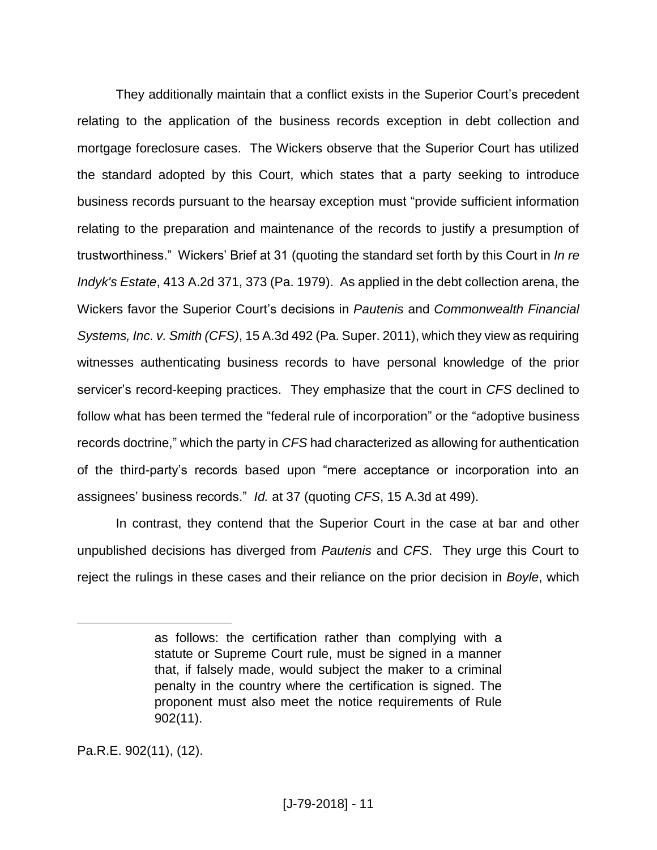They additionally maintain that a conflict exists in the Superior Court's precedent relating to the application of the business records exception in debt collection and mortgage foreclosure cases. The Wickers observe that the Superior Court has utilized the standard adopted by this Court, which states that a party seeking to introduce business records pursuant to the hearsay exception must "provide sufficient information relating to the preparation and maintenance of the records to justify a presumption of trustworthiness." Wickers' Brief at 31 (quoting the standard set forth by this Court in *In re Indyk's Estate*, 413 A.2d 371, 373 (Pa. 1979). As applied in the debt collection arena, the Wickers favor the Superior Court's decisions in *Pautenis* and *Commonwealth Financial Systems, Inc. v. Smith (CFS)*, 15 A.3d 492 (Pa. Super. 2011), which they view as requiring witnesses authenticating business records to have personal knowledge of the prior servicer's record-keeping practices. They emphasize that the court in *CFS* declined to follow what has been termed the "federal rule of incorporation" or the "adoptive business records doctrine," which the party in *CFS* had characterized as allowing for authentication of the third-party's records based upon "mere acceptance or incorporation into an assignees' business records." *Id.* at 37 (quoting *CFS*, 15 A.3d at 499).

In contrast, they contend that the Superior Court in the case at bar and other unpublished decisions has diverged from *Pautenis* and *CFS*. They urge this Court to reject the rulings in these cases and their reliance on the prior decision in *Boyle*, which

Pa.R.E. 902(11), (12).

as follows: the certification rather than complying with a statute or Supreme Court rule, must be signed in a manner that, if falsely made, would subject the maker to a criminal penalty in the country where the certification is signed. The proponent must also meet the notice requirements of Rule 902(11).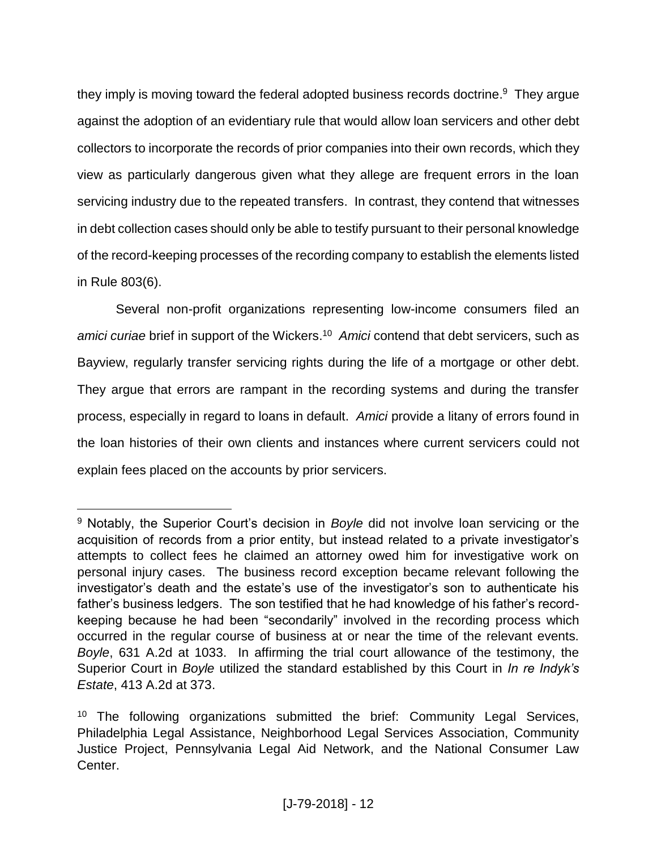they imply is moving toward the federal adopted business records doctrine.<sup>9</sup> They argue against the adoption of an evidentiary rule that would allow loan servicers and other debt collectors to incorporate the records of prior companies into their own records, which they view as particularly dangerous given what they allege are frequent errors in the loan servicing industry due to the repeated transfers. In contrast, they contend that witnesses in debt collection cases should only be able to testify pursuant to their personal knowledge of the record-keeping processes of the recording company to establish the elements listed in Rule 803(6).

Several non-profit organizations representing low-income consumers filed an *amici curiae* brief in support of the Wickers. <sup>10</sup> *Amici* contend that debt servicers, such as Bayview, regularly transfer servicing rights during the life of a mortgage or other debt. They argue that errors are rampant in the recording systems and during the transfer process, especially in regard to loans in default. *Amici* provide a litany of errors found in the loan histories of their own clients and instances where current servicers could not explain fees placed on the accounts by prior servicers.

<sup>9</sup> Notably, the Superior Court's decision in *Boyle* did not involve loan servicing or the acquisition of records from a prior entity, but instead related to a private investigator's attempts to collect fees he claimed an attorney owed him for investigative work on personal injury cases. The business record exception became relevant following the investigator's death and the estate's use of the investigator's son to authenticate his father's business ledgers. The son testified that he had knowledge of his father's recordkeeping because he had been "secondarily" involved in the recording process which occurred in the regular course of business at or near the time of the relevant events. *Boyle*, 631 A.2d at 1033. In affirming the trial court allowance of the testimony, the Superior Court in *Boyle* utilized the standard established by this Court in *In re Indyk's Estate*, 413 A.2d at 373.

<sup>&</sup>lt;sup>10</sup> The following organizations submitted the brief: Community Legal Services, Philadelphia Legal Assistance, Neighborhood Legal Services Association, Community Justice Project, Pennsylvania Legal Aid Network, and the National Consumer Law Center.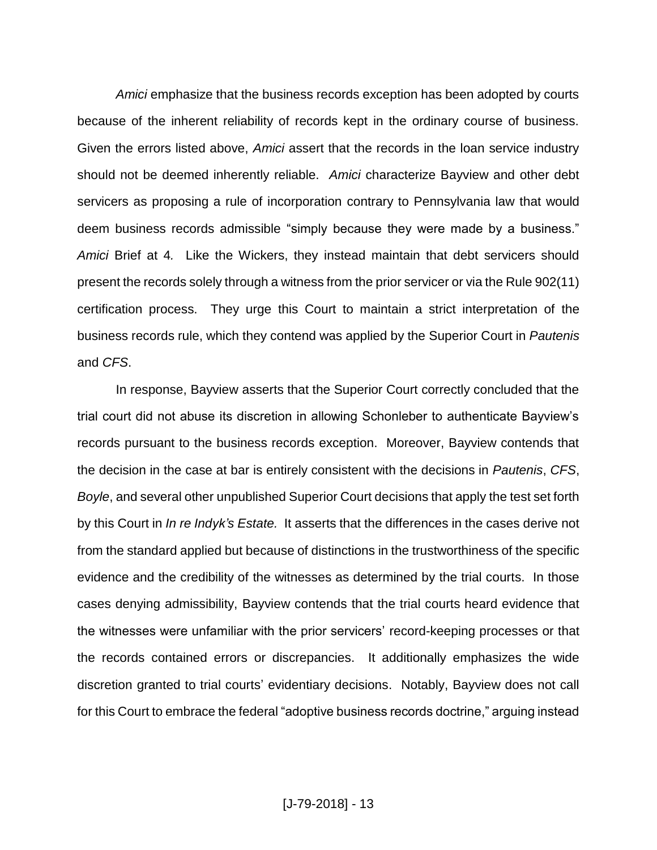Amici emphasize that the business records exception has been adopted by courts because of the inherent reliability of records kept in the ordinary course of business. Given the errors listed above, *Amici* assert that the records in the loan service industry should not be deemed inherently reliable. *Amici* characterize Bayview and other debt servicers as proposing a rule of incorporation contrary to Pennsylvania law that would deem business records admissible "simply because they were made by a business." *Amici* Brief at 4*.* Like the Wickers, they instead maintain that debt servicers should present the records solely through a witness from the prior servicer or via the Rule 902(11) certification process. They urge this Court to maintain a strict interpretation of the business records rule, which they contend was applied by the Superior Court in *Pautenis* and *CFS*.

In response, Bayview asserts that the Superior Court correctly concluded that the trial court did not abuse its discretion in allowing Schonleber to authenticate Bayview's records pursuant to the business records exception. Moreover, Bayview contends that the decision in the case at bar is entirely consistent with the decisions in *Pautenis*, *CFS*, *Boyle*, and several other unpublished Superior Court decisions that apply the test set forth by this Court in *In re Indyk's Estate.* It asserts that the differences in the cases derive not from the standard applied but because of distinctions in the trustworthiness of the specific evidence and the credibility of the witnesses as determined by the trial courts. In those cases denying admissibility, Bayview contends that the trial courts heard evidence that the witnesses were unfamiliar with the prior servicers' record-keeping processes or that the records contained errors or discrepancies. It additionally emphasizes the wide discretion granted to trial courts' evidentiary decisions. Notably, Bayview does not call for this Court to embrace the federal "adoptive business records doctrine," arguing instead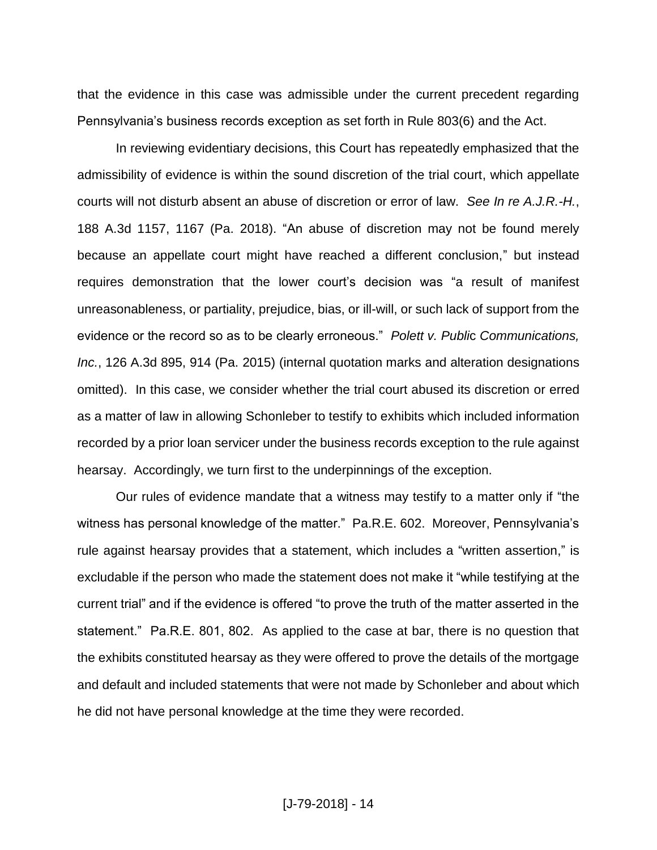that the evidence in this case was admissible under the current precedent regarding Pennsylvania's business records exception as set forth in Rule 803(6) and the Act.

In reviewing evidentiary decisions, this Court has repeatedly emphasized that the admissibility of evidence is within the sound discretion of the trial court, which appellate courts will not disturb absent an abuse of discretion or error of law. *See In re A.J.R.-H.*, 188 A.3d 1157, 1167 (Pa. 2018). "An abuse of discretion may not be found merely because an appellate court might have reached a different conclusion," but instead requires demonstration that the lower court's decision was "a result of manifest unreasonableness, or partiality, prejudice, bias, or ill-will, or such lack of support from the evidence or the record so as to be clearly erroneous." *Polett v. Publi*c *Communications, Inc.*, 126 A.3d 895, 914 (Pa. 2015) (internal quotation marks and alteration designations omitted). In this case, we consider whether the trial court abused its discretion or erred as a matter of law in allowing Schonleber to testify to exhibits which included information recorded by a prior loan servicer under the business records exception to the rule against hearsay. Accordingly, we turn first to the underpinnings of the exception.

Our rules of evidence mandate that a witness may testify to a matter only if "the witness has personal knowledge of the matter." Pa.R.E. 602. Moreover, Pennsylvania's rule against hearsay provides that a statement, which includes a "written assertion," is excludable if the person who made the statement does not make it "while testifying at the current trial" and if the evidence is offered "to prove the truth of the matter asserted in the statement." Pa.R.E. 801, 802. As applied to the case at bar, there is no question that the exhibits constituted hearsay as they were offered to prove the details of the mortgage and default and included statements that were not made by Schonleber and about which he did not have personal knowledge at the time they were recorded.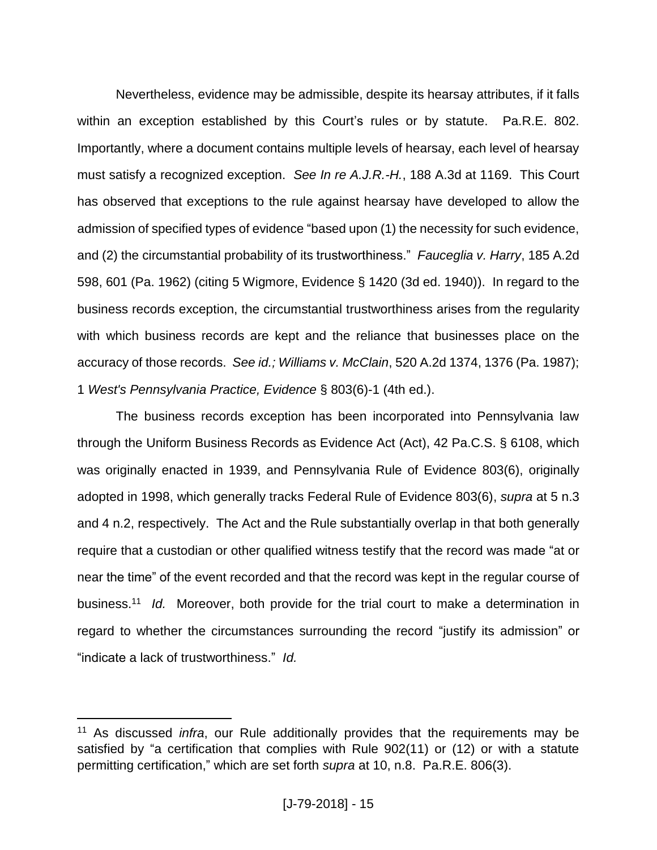Nevertheless, evidence may be admissible, despite its hearsay attributes, if it falls within an exception established by this Court's rules or by statute. Pa.R.E. 802. Importantly, where a document contains multiple levels of hearsay, each level of hearsay must satisfy a recognized exception. *See In re A.J.R.-H.*, 188 A.3d at 1169. This Court has observed that exceptions to the rule against hearsay have developed to allow the admission of specified types of evidence "based upon (1) the necessity for such evidence, and (2) the circumstantial probability of its trustworthiness." *Fauceglia v. Harry*, 185 A.2d 598, 601 (Pa. 1962) (citing 5 Wigmore, Evidence § 1420 (3d ed. 1940)). In regard to the business records exception, the circumstantial trustworthiness arises from the regularity with which business records are kept and the reliance that businesses place on the accuracy of those records. *See id.; Williams v. McClain*, 520 A.2d 1374, 1376 (Pa. 1987); 1 *West's Pennsylvania Practice, Evidence* § 803(6)-1 (4th ed.).

The business records exception has been incorporated into Pennsylvania law through the Uniform Business Records as Evidence Act (Act), 42 Pa.C.S. § 6108, which was originally enacted in 1939, and Pennsylvania Rule of Evidence 803(6), originally adopted in 1998, which generally tracks Federal Rule of Evidence 803(6), *supra* at 5 n.3 and 4 n.2, respectively. The Act and the Rule substantially overlap in that both generally require that a custodian or other qualified witness testify that the record was made "at or near the time" of the event recorded and that the record was kept in the regular course of business. 11 *Id.* Moreover, both provide for the trial court to make a determination in regard to whether the circumstances surrounding the record "justify its admission" or "indicate a lack of trustworthiness." *Id.*

<sup>11</sup> As discussed *infra*, our Rule additionally provides that the requirements may be satisfied by "a certification that complies with Rule 902(11) or (12) or with a statute permitting certification," which are set forth *supra* at 10, n.8. Pa.R.E. 806(3).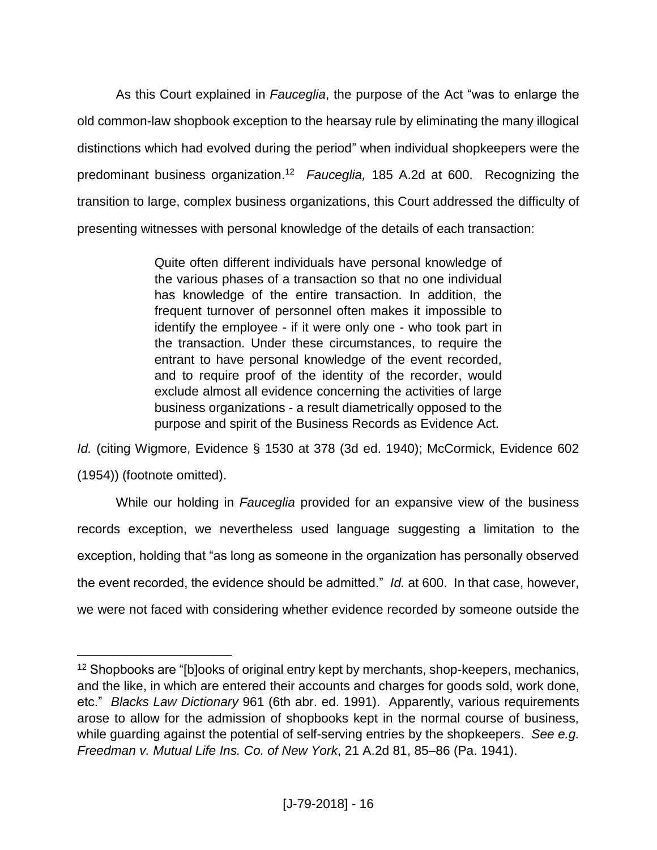As this Court explained in *Fauceglia*, the purpose of the Act "was to enlarge the old common-law shopbook exception to the hearsay rule by eliminating the many illogical distinctions which had evolved during the period" when individual shopkeepers were the predominant business organization.<sup>12</sup> Fauceglia, 185 A.2d at 600. Recognizing the transition to large, complex business organizations, this Court addressed the difficulty of presenting witnesses with personal knowledge of the details of each transaction:

> Quite often different individuals have personal knowledge of the various phases of a transaction so that no one individual has knowledge of the entire transaction. In addition, the frequent turnover of personnel often makes it impossible to identify the employee - if it were only one - who took part in the transaction. Under these circumstances, to require the entrant to have personal knowledge of the event recorded, and to require proof of the identity of the recorder, would exclude almost all evidence concerning the activities of large business organizations - a result diametrically opposed to the purpose and spirit of the Business Records as Evidence Act.

*Id.* (citing Wigmore, Evidence § 1530 at 378 (3d ed. 1940); McCormick, Evidence 602 (1954)) (footnote omitted).

While our holding in *Fauceglia* provided for an expansive view of the business records exception, we nevertheless used language suggesting a limitation to the exception, holding that "as long as someone in the organization has personally observed the event recorded, the evidence should be admitted." *Id.* at 600. In that case, however, we were not faced with considering whether evidence recorded by someone outside the

<sup>&</sup>lt;sup>12</sup> Shopbooks are "[b]ooks of original entry kept by merchants, shop-keepers, mechanics, and the like, in which are entered their accounts and charges for goods sold, work done, etc." *Blacks Law Dictionary* 961 (6th abr. ed. 1991). Apparently, various requirements arose to allow for the admission of shopbooks kept in the normal course of business, while guarding against the potential of self-serving entries by the shopkeepers. *See e.g. Freedman v. Mutual Life Ins. Co. of New York*, 21 A.2d 81, 85–86 (Pa. 1941).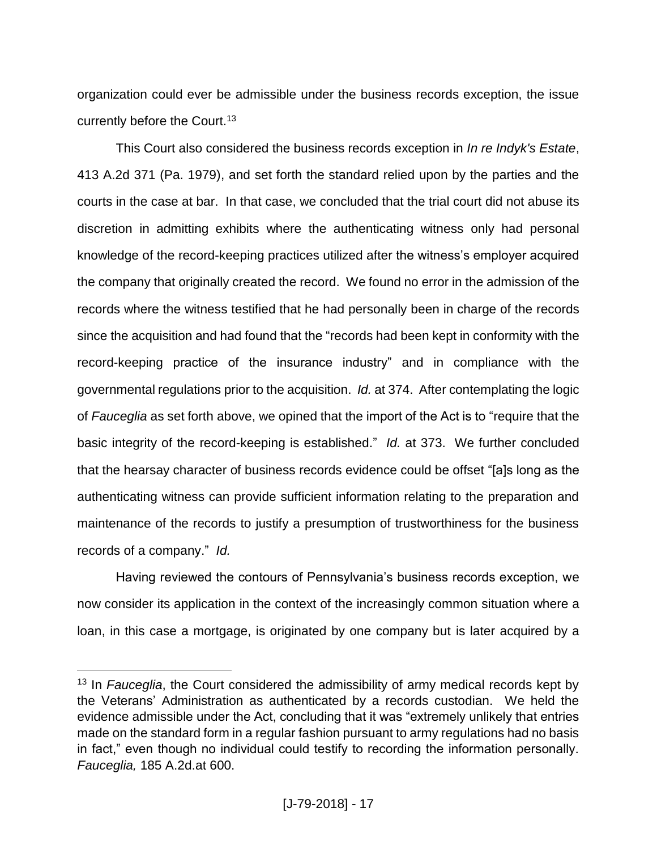organization could ever be admissible under the business records exception, the issue currently before the Court.<sup>13</sup>

This Court also considered the business records exception in *In re Indyk's Estate*, 413 A.2d 371 (Pa. 1979), and set forth the standard relied upon by the parties and the courts in the case at bar. In that case, we concluded that the trial court did not abuse its discretion in admitting exhibits where the authenticating witness only had personal knowledge of the record-keeping practices utilized after the witness's employer acquired the company that originally created the record. We found no error in the admission of the records where the witness testified that he had personally been in charge of the records since the acquisition and had found that the "records had been kept in conformity with the record-keeping practice of the insurance industry" and in compliance with the governmental regulations prior to the acquisition. *Id.* at 374. After contemplating the logic of *Fauceglia* as set forth above, we opined that the import of the Act is to "require that the basic integrity of the record-keeping is established." *Id.* at 373. We further concluded that the hearsay character of business records evidence could be offset "[a]s long as the authenticating witness can provide sufficient information relating to the preparation and maintenance of the records to justify a presumption of trustworthiness for the business records of a company." *Id.*

Having reviewed the contours of Pennsylvania's business records exception, we now consider its application in the context of the increasingly common situation where a loan, in this case a mortgage, is originated by one company but is later acquired by a

<sup>&</sup>lt;sup>13</sup> In *Fauceglia*, the Court considered the admissibility of army medical records kept by the Veterans' Administration as authenticated by a records custodian. We held the evidence admissible under the Act, concluding that it was "extremely unlikely that entries made on the standard form in a regular fashion pursuant to army regulations had no basis in fact," even though no individual could testify to recording the information personally. *Fauceglia,* 185 A.2d.at 600.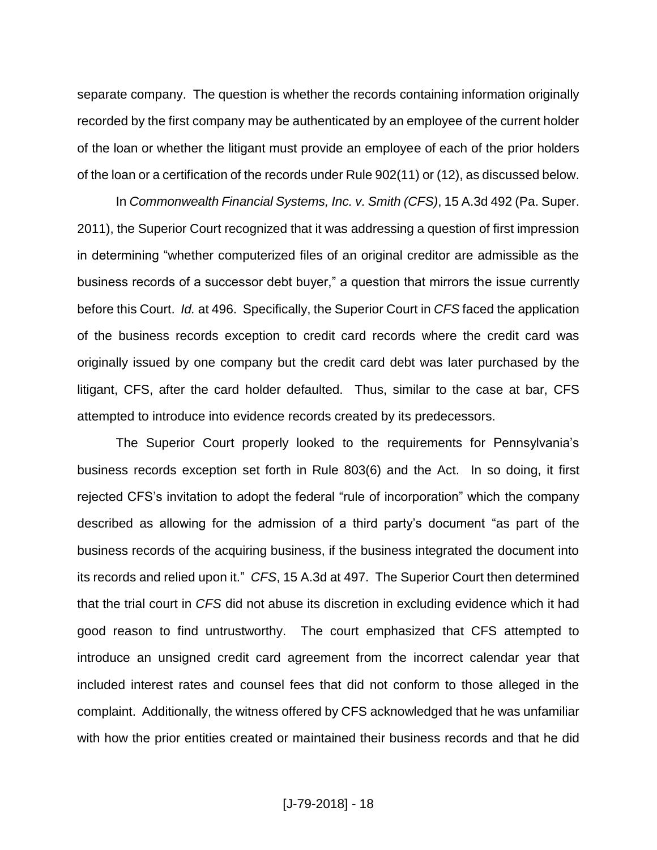separate company. The question is whether the records containing information originally recorded by the first company may be authenticated by an employee of the current holder of the loan or whether the litigant must provide an employee of each of the prior holders of the loan or a certification of the records under Rule 902(11) or (12), as discussed below.

In *Commonwealth Financial Systems, Inc. v. Smith (CFS)*, 15 A.3d 492 (Pa. Super. 2011), the Superior Court recognized that it was addressing a question of first impression in determining "whether computerized files of an original creditor are admissible as the business records of a successor debt buyer," a question that mirrors the issue currently before this Court. *Id.* at 496. Specifically, the Superior Court in *CFS* faced the application of the business records exception to credit card records where the credit card was originally issued by one company but the credit card debt was later purchased by the litigant, CFS, after the card holder defaulted. Thus, similar to the case at bar, CFS attempted to introduce into evidence records created by its predecessors.

The Superior Court properly looked to the requirements for Pennsylvania's business records exception set forth in Rule 803(6) and the Act. In so doing, it first rejected CFS's invitation to adopt the federal "rule of incorporation" which the company described as allowing for the admission of a third party's document "as part of the business records of the acquiring business, if the business integrated the document into its records and relied upon it." *CFS*, 15 A.3d at 497. The Superior Court then determined that the trial court in *CFS* did not abuse its discretion in excluding evidence which it had good reason to find untrustworthy. The court emphasized that CFS attempted to introduce an unsigned credit card agreement from the incorrect calendar year that included interest rates and counsel fees that did not conform to those alleged in the complaint. Additionally, the witness offered by CFS acknowledged that he was unfamiliar with how the prior entities created or maintained their business records and that he did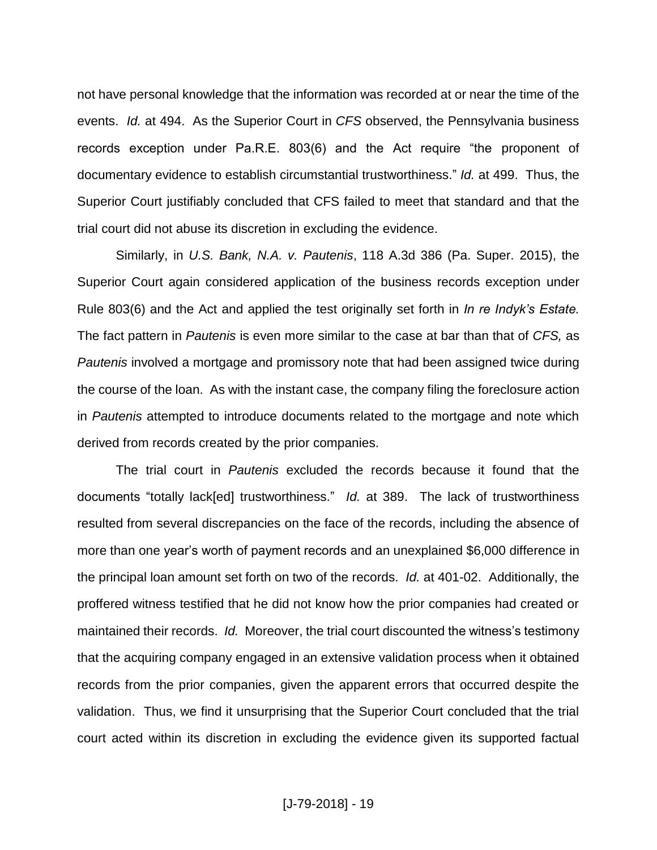not have personal knowledge that the information was recorded at or near the time of the events. *Id.* at 494. As the Superior Court in *CFS* observed, the Pennsylvania business records exception under Pa.R.E. 803(6) and the Act require "the proponent of documentary evidence to establish circumstantial trustworthiness." *Id.* at 499. Thus, the Superior Court justifiably concluded that CFS failed to meet that standard and that the trial court did not abuse its discretion in excluding the evidence.

Similarly, in *U.S. Bank, N.A. v. Pautenis*, 118 A.3d 386 (Pa. Super. 2015), the Superior Court again considered application of the business records exception under Rule 803(6) and the Act and applied the test originally set forth in *In re Indyk's Estate.*  The fact pattern in *Pautenis* is even more similar to the case at bar than that of *CFS,* as *Pautenis* involved a mortgage and promissory note that had been assigned twice during the course of the loan. As with the instant case, the company filing the foreclosure action in *Pautenis* attempted to introduce documents related to the mortgage and note which derived from records created by the prior companies.

The trial court in *Pautenis* excluded the records because it found that the documents "totally lack[ed] trustworthiness." *Id.* at 389. The lack of trustworthiness resulted from several discrepancies on the face of the records, including the absence of more than one year's worth of payment records and an unexplained \$6,000 difference in the principal loan amount set forth on two of the records. *Id.* at 401-02. Additionally, the proffered witness testified that he did not know how the prior companies had created or maintained their records. *Id.* Moreover, the trial court discounted the witness's testimony that the acquiring company engaged in an extensive validation process when it obtained records from the prior companies, given the apparent errors that occurred despite the validation. Thus, we find it unsurprising that the Superior Court concluded that the trial court acted within its discretion in excluding the evidence given its supported factual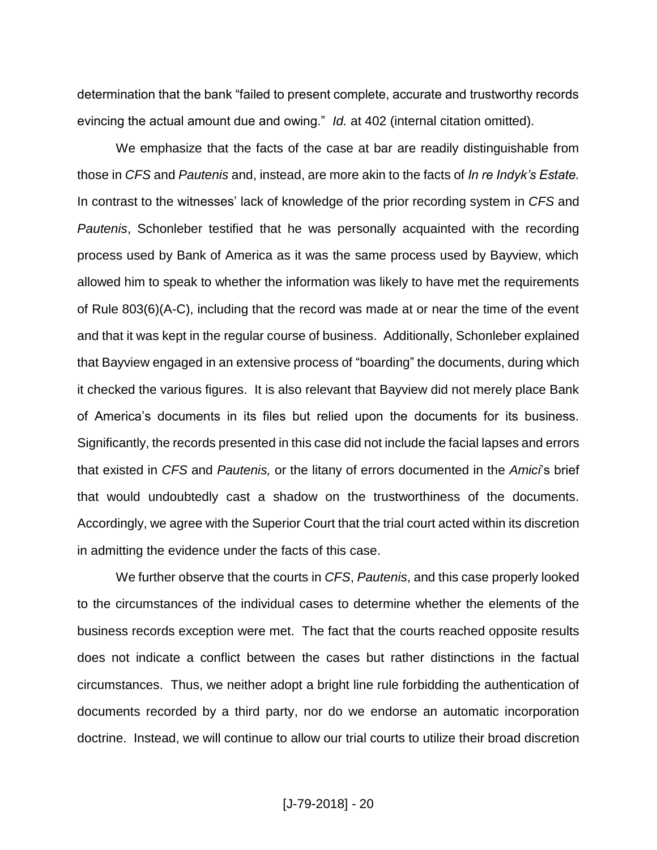determination that the bank "failed to present complete, accurate and trustworthy records evincing the actual amount due and owing." *Id.* at 402 (internal citation omitted).

We emphasize that the facts of the case at bar are readily distinguishable from those in *CFS* and *Pautenis* and, instead, are more akin to the facts of *In re Indyk's Estate.*  In contrast to the witnesses' lack of knowledge of the prior recording system in *CFS* and *Pautenis*, Schonleber testified that he was personally acquainted with the recording process used by Bank of America as it was the same process used by Bayview, which allowed him to speak to whether the information was likely to have met the requirements of Rule 803(6)(A-C), including that the record was made at or near the time of the event and that it was kept in the regular course of business. Additionally, Schonleber explained that Bayview engaged in an extensive process of "boarding" the documents, during which it checked the various figures. It is also relevant that Bayview did not merely place Bank of America's documents in its files but relied upon the documents for its business. Significantly, the records presented in this case did not include the facial lapses and errors that existed in *CFS* and *Pautenis,* or the litany of errors documented in the *Amici*'s brief that would undoubtedly cast a shadow on the trustworthiness of the documents. Accordingly, we agree with the Superior Court that the trial court acted within its discretion in admitting the evidence under the facts of this case.

We further observe that the courts in *CFS*, *Pautenis*, and this case properly looked to the circumstances of the individual cases to determine whether the elements of the business records exception were met. The fact that the courts reached opposite results does not indicate a conflict between the cases but rather distinctions in the factual circumstances. Thus, we neither adopt a bright line rule forbidding the authentication of documents recorded by a third party, nor do we endorse an automatic incorporation doctrine. Instead, we will continue to allow our trial courts to utilize their broad discretion